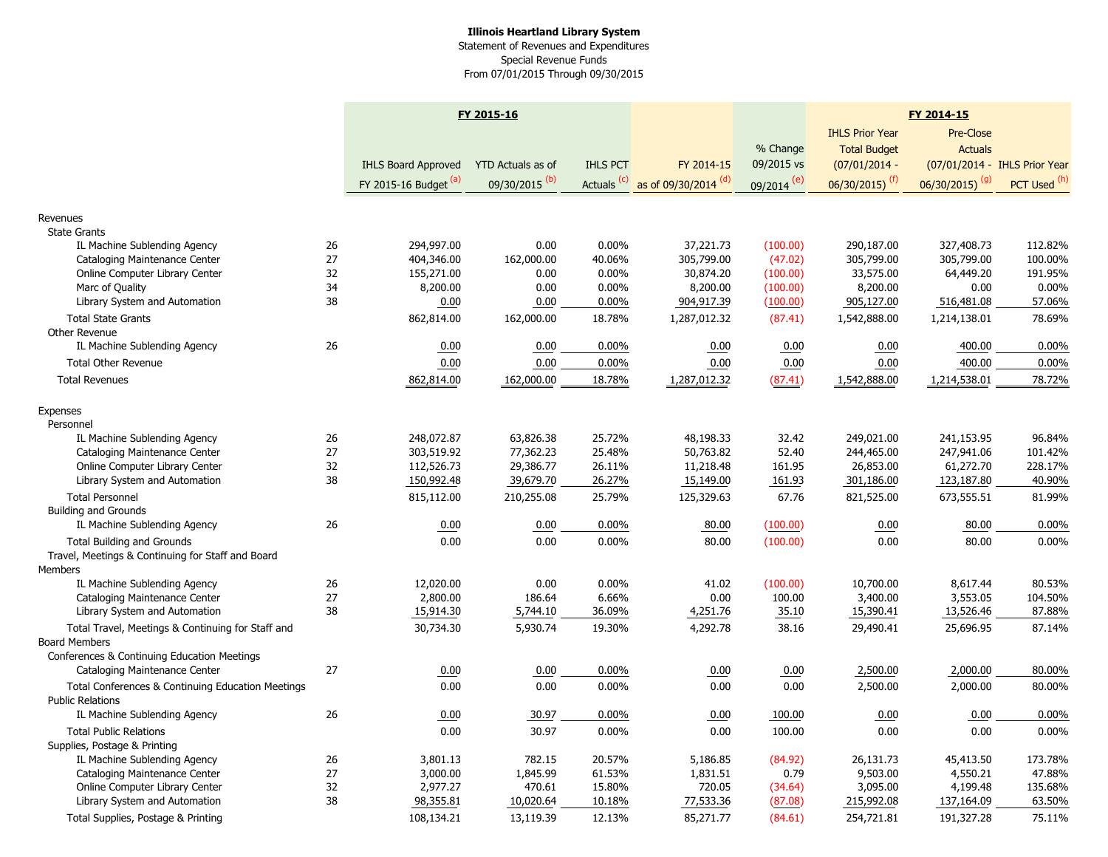## **Illinois Heartland Library System** Statement of Revenues and Expenditures Special Revenue Funds From 07/01/2015 Through 09/30/2015

|                                                   |    | FY 2015-16                 |                           |                        |                      |                          | FY 2014-15                  |                              |                               |  |
|---------------------------------------------------|----|----------------------------|---------------------------|------------------------|----------------------|--------------------------|-----------------------------|------------------------------|-------------------------------|--|
|                                                   |    |                            |                           |                        |                      |                          | <b>IHLS Prior Year</b>      | Pre-Close                    |                               |  |
|                                                   |    |                            |                           |                        |                      | % Change                 | <b>Total Budget</b>         | <b>Actuals</b>               |                               |  |
|                                                   |    | <b>IHLS Board Approved</b> | YTD Actuals as of         | <b>IHLS PCT</b>        | FY 2014-15           | 09/2015 vs               | $(07/01/2014 -$             |                              | (07/01/2014 - IHLS Prior Year |  |
|                                                   |    | FY 2015-16 Budget (a)      | 09/30/2015 <sup>(b)</sup> | Actuals <sup>(c)</sup> | as of 09/30/2014 (d) | $09/2014$ <sup>(e)</sup> | $06/30/2015$ <sup>(f)</sup> | $06/30/2015)$ <sup>(g)</sup> | PCT Used (h)                  |  |
|                                                   |    |                            |                           |                        |                      |                          |                             |                              |                               |  |
| Revenues                                          |    |                            |                           |                        |                      |                          |                             |                              |                               |  |
| <b>State Grants</b>                               |    |                            |                           |                        |                      |                          |                             |                              |                               |  |
| IL Machine Sublending Agency                      | 26 | 294,997.00                 | 0.00                      | 0.00%                  | 37,221.73            | (100.00)                 | 290,187.00                  | 327,408.73                   | 112.82%                       |  |
| Cataloging Maintenance Center                     | 27 | 404,346.00                 | 162,000.00                | 40.06%                 | 305,799.00           | (47.02)                  | 305,799.00                  | 305,799.00                   | 100.00%                       |  |
| Online Computer Library Center                    | 32 | 155,271.00                 | 0.00                      | $0.00\%$               | 30,874.20            | (100.00)                 | 33,575.00                   | 64,449.20                    | 191.95%                       |  |
| Marc of Quality                                   | 34 | 8,200.00                   | 0.00                      | $0.00\%$               | 8,200.00             | (100.00)                 | 8,200.00                    | 0.00                         | 0.00%                         |  |
| Library System and Automation                     | 38 | 0.00                       | 0.00                      | 0.00%                  | 904,917.39           | (100.00)                 | 905,127.00                  | 516,481.08                   | 57.06%                        |  |
| <b>Total State Grants</b>                         |    | 862,814.00                 | 162,000.00                | 18.78%                 | 1,287,012.32         | (87.41)                  | 1,542,888.00                | 1,214,138.01                 | 78.69%                        |  |
| Other Revenue                                     |    |                            |                           |                        |                      |                          |                             |                              |                               |  |
| IL Machine Sublending Agency                      | 26 | 0.00                       | 0.00                      | $0.00\%$               | 0.00                 | 0.00                     | 0.00                        | 400.00                       | $0.00\%$                      |  |
| <b>Total Other Revenue</b>                        |    | 0.00                       | 0.00                      | 0.00%                  | 0.00                 | 0.00                     | 0.00                        | 400.00                       | 0.00%                         |  |
| <b>Total Revenues</b>                             |    | 862,814.00                 | 162,000.00                | 18.78%                 | 1,287,012.32         | (87.41)                  | 1,542,888.00                | 1,214,538.01                 | 78.72%                        |  |
|                                                   |    |                            |                           |                        |                      |                          |                             |                              |                               |  |
| Expenses                                          |    |                            |                           |                        |                      |                          |                             |                              |                               |  |
| Personnel                                         |    |                            |                           |                        |                      |                          |                             |                              |                               |  |
| IL Machine Sublending Agency                      | 26 | 248,072.87                 | 63,826.38                 | 25.72%                 | 48,198.33            | 32.42                    | 249,021.00                  | 241,153.95                   | 96.84%                        |  |
| Cataloging Maintenance Center                     | 27 | 303,519.92                 | 77,362.23                 | 25.48%                 | 50,763.82            | 52.40                    | 244,465.00                  | 247,941.06                   | 101.42%                       |  |
| Online Computer Library Center                    | 32 | 112,526.73                 | 29,386.77                 | 26.11%                 | 11,218.48            | 161.95                   | 26,853.00                   | 61,272.70                    | 228.17%                       |  |
| Library System and Automation                     | 38 | 150,992.48                 | 39,679.70                 | 26.27%                 | 15,149.00            | 161.93                   | 301,186.00                  | 123,187.80                   | 40.90%                        |  |
| <b>Total Personnel</b>                            |    | 815,112.00                 | 210,255.08                | 25.79%                 | 125,329.63           | 67.76                    | 821,525.00                  | 673,555.51                   | 81.99%                        |  |
| <b>Building and Grounds</b>                       |    |                            |                           |                        |                      |                          |                             |                              |                               |  |
| IL Machine Sublending Agency                      | 26 | 0.00                       | 0.00                      | 0.00%                  | 80.00                | (100.00)                 | 0.00                        | 80.00                        | 0.00%                         |  |
| <b>Total Building and Grounds</b>                 |    | 0.00                       | 0.00                      | 0.00%                  | 80.00                | (100.00)                 | 0.00                        | 80.00                        | 0.00%                         |  |
| Travel, Meetings & Continuing for Staff and Board |    |                            |                           |                        |                      |                          |                             |                              |                               |  |
| Members                                           |    |                            |                           |                        |                      |                          |                             |                              |                               |  |
| IL Machine Sublending Agency                      | 26 | 12,020.00                  | 0.00                      | $0.00\%$               | 41.02                | (100.00)                 | 10,700.00                   | 8,617.44                     | 80.53%                        |  |
| Cataloging Maintenance Center                     | 27 | 2,800.00                   | 186.64                    | 6.66%                  | 0.00                 | 100.00                   | 3,400.00                    | 3,553.05                     | 104.50%                       |  |
| Library System and Automation                     | 38 | 15,914.30                  | 5,744.10                  | 36.09%                 | 4,251.76             | 35.10                    | 15,390.41                   | 13,526.46                    | 87.88%                        |  |
| Total Travel, Meetings & Continuing for Staff and |    | 30,734.30                  | 5,930.74                  | 19.30%                 | 4,292.78             | 38.16                    | 29,490.41                   | 25,696.95                    | 87.14%                        |  |
| <b>Board Members</b>                              |    |                            |                           |                        |                      |                          |                             |                              |                               |  |
| Conferences & Continuing Education Meetings       |    |                            |                           |                        |                      |                          |                             |                              |                               |  |
| Cataloging Maintenance Center                     | 27 | 0.00                       | 0.00                      | 0.00%                  | 0.00                 | 0.00                     | 2,500.00                    | 2,000.00                     | 80.00%                        |  |
| Total Conferences & Continuing Education Meetings |    | 0.00                       | 0.00                      | 0.00%                  | 0.00                 | 0.00                     | 2,500.00                    | 2,000.00                     | 80.00%                        |  |
| <b>Public Relations</b>                           |    |                            |                           |                        |                      |                          |                             |                              |                               |  |
| IL Machine Sublending Agency                      | 26 | 0.00                       | 30.97                     | 0.00%                  | 0.00                 | 100.00                   | 0.00                        | 0.00                         | 0.00%                         |  |
| <b>Total Public Relations</b>                     |    | 0.00                       | 30.97                     | $0.00\%$               | 0.00                 | 100.00                   | 0.00                        | 0.00                         | 0.00%                         |  |
| Supplies, Postage & Printing                      |    |                            |                           |                        |                      |                          |                             |                              |                               |  |
| IL Machine Sublending Agency                      | 26 | 3,801.13                   | 782.15                    | 20.57%                 | 5,186.85             | (84.92)                  | 26,131.73                   | 45,413.50                    | 173.78%                       |  |
| Cataloging Maintenance Center                     | 27 | 3,000.00                   | 1,845.99                  | 61.53%                 | 1,831.51             | 0.79                     | 9,503.00                    | 4,550.21                     | 47.88%                        |  |
| Online Computer Library Center                    | 32 | 2,977.27                   | 470.61                    | 15.80%                 | 720.05               | (34.64)                  | 3,095.00                    | 4,199.48                     | 135.68%                       |  |
| Library System and Automation                     | 38 | 98,355.81                  | 10,020.64                 | 10.18%                 | 77,533.36            | (87.08)                  | 215,992.08                  | 137,164.09                   | 63.50%                        |  |
| Total Supplies, Postage & Printing                |    | 108,134.21                 | 13,119.39                 | 12.13%                 | 85,271.77            | (84.61)                  | 254,721.81                  | 191,327.28                   | 75.11%                        |  |